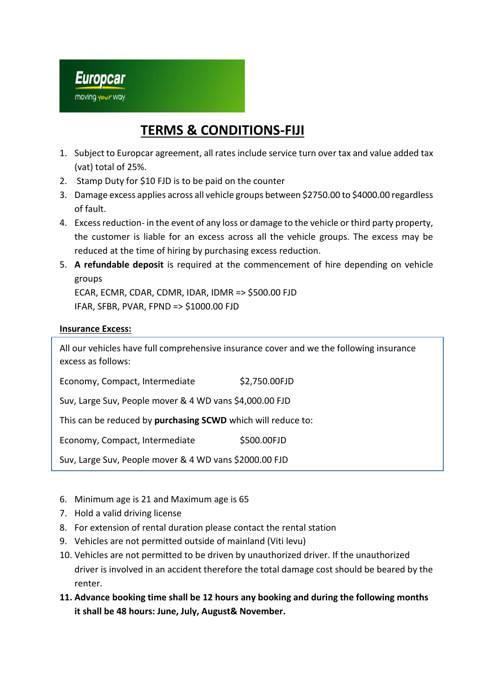

## **TERMS & CONDITIONS-FIJI**

- 1. Subject to Europcar agreement, all rates include service turn over tax and value added tax (vat) total of 25%.
- 2. Stamp Duty for \$10 FJD is to be paid on the counter
- 3. Damage excess applies across all vehicle groups between \$2750.00 to \$4000.00 regardless of fault.
- 4. Excess reduction- in the event of any loss or damage to the vehicle or third party property, the customer is liable for an excess across all the vehicle groups. The excess may be reduced at the time of hiring by purchasing excess reduction.
- 5. **A refundable deposit** is required at the commencement of hire depending on vehicle groups

ECAR, ECMR, CDAR, CDMR, IDAR, IDMR => \$500.00 FJD IFAR, SFBR, PVAR, FPND => \$1000.00 FJD

## **Insurance Excess:**

All our vehicles have full comprehensive insurance cover and we the following insurance excess as follows:

Economy, Compact, Intermediate \$2,750.00FJD

Suv, Large Suv, People mover & 4 WD vans \$4,000.00 FJD

This can be reduced by **purchasing SCWD** which will reduce to:

Economy, Compact, Intermediate \$500.00FJD

Suv, Large Suv, People mover & 4 WD vans \$2000.00 FJD

- 6. Minimum age is 21 and Maximum age is 65
- 7. Hold a valid driving license
- 8. For extension of rental duration please contact the rental station
- 9. Vehicles are not permitted outside of mainland (Viti levu)
- 10. Vehicles are not permitted to be driven by unauthorized driver. If the unauthorized driver is involved in an accident therefore the total damage cost should be beared by the renter.
- **11. Advance booking time shall be 12 hours any booking and during the following months it shall be 48 hours: June, July, August& November.**